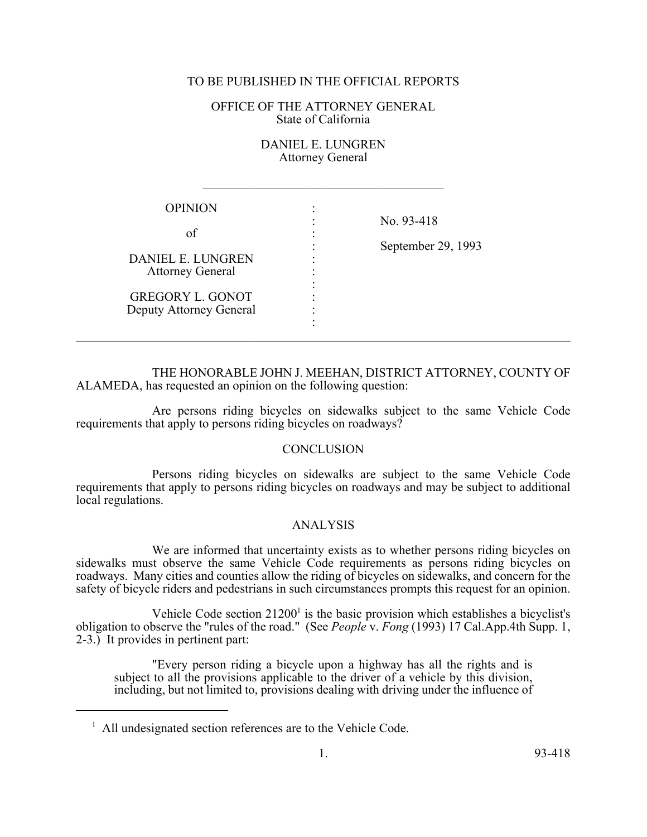## TO BE PUBLISHED IN THE OFFICIAL REPORTS

SENERAL TO BE PUBLISHED IN THE OFFICIAL REPORTS<br>
OFFICE OF THE ATTORNEY GENERAL<br>
State of California<br>
DANIEL E. LUNGREN<br>
Attorney General<br>
OPINION :

EN **Attorney General** 

 $\mathcal{L}_\text{max}$ 

| <b>OPINION</b>                                     |  |                                  |
|----------------------------------------------------|--|----------------------------------|
| οf                                                 |  | No. 93-418<br>September 29, 1993 |
| DANIEL E. LUNGREN<br><b>Attorney General</b>       |  |                                  |
| <b>GREGORY L. GONOT</b><br>Deputy Attorney General |  |                                  |

THE HONORABLE JOHN J. MEEHAN, DISTRICT ATTORNEY, COUNTY OF ALAMEDA, has requested an opinion on the following question:

 $\mathcal{L}_\mathcal{L} = \{ \mathcal{L}_\mathcal{L} = \{ \mathcal{L}_\mathcal{L} = \{ \mathcal{L}_\mathcal{L} = \{ \mathcal{L}_\mathcal{L} = \{ \mathcal{L}_\mathcal{L} = \{ \mathcal{L}_\mathcal{L} = \{ \mathcal{L}_\mathcal{L} = \{ \mathcal{L}_\mathcal{L} = \{ \mathcal{L}_\mathcal{L} = \{ \mathcal{L}_\mathcal{L} = \{ \mathcal{L}_\mathcal{L} = \{ \mathcal{L}_\mathcal{L} = \{ \mathcal{L}_\mathcal{L} = \{ \mathcal{L}_\mathcal{$ 

Are persons riding bicycles on sidewalks subject to the same Vehicle Code requirements that apply to persons riding bicycles on roadways?

## **CONCLUSION**

Persons riding bicycles on sidewalks are subject to the same Vehicle Code requirements that apply to persons riding bicycles on roadways and may be subject to additional local regulations.

## ANALYSIS

We are informed that uncertainty exists as to whether persons riding bicycles on sidewalks must observe the same Vehicle Code requirements as persons riding bicycles on roadways. Many cities and counties allow the riding of bicycles on sidewalks, and concern for the safety of bicycle riders and pedestrians in such circumstances prompts this request for an opinion.

Vehicle Code section  $21200<sup>1</sup>$  is the basic provision which establishes a bicyclist's obligation to observe the "rules of the road." (See *People* v. *Fong* (1993) 17 Cal.App.4th Supp. 1, 2-3.) It provides in pertinent part:

"Every person riding a bicycle upon a highway has all the rights and is subject to all the provisions applicable to the driver of a vehicle by this division, including, but not limited to, provisions dealing with driving under the influence of

 $<sup>1</sup>$  All undesignated section references are to the Vehicle Code.</sup>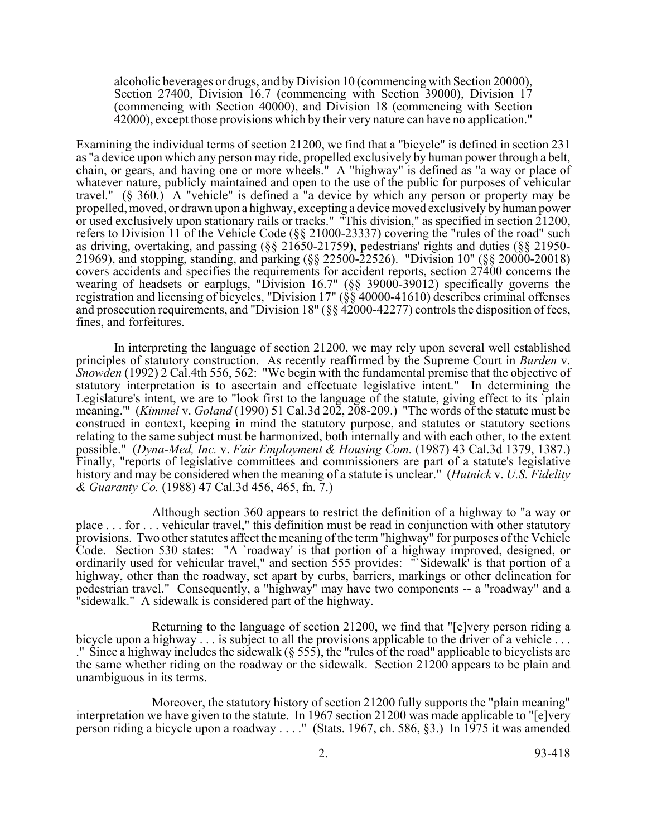alcoholic beverages or drugs, and by Division 10 (commencing with Section 20000), Section 27400, Division 16.7 (commencing with Section 39000), Division 17 (commencing with Section 40000), and Division 18 (commencing with Section 42000), except those provisions which by their very nature can have no application."

Examining the individual terms of section 21200, we find that a "bicycle" is defined in section 231 as "a device upon which any person may ride, propelled exclusively by human power through a belt, chain, or gears, and having one or more wheels." A "highway" is defined as "a way or place of whatever nature, publicly maintained and open to the use of the public for purposes of vehicular travel." (§ 360.) A "vehicle" is defined a "a device by which any person or property may be propelled, moved, or drawn upon a highway, excepting a device moved exclusively by human power or used exclusively upon stationary rails or tracks." "This division," as specified in section 21200, refers to Division 11 of the Vehicle Code (§§ 21000-23337) covering the "rules of the road" such as driving, overtaking, and passing (§§ 21650-21759), pedestrians' rights and duties (§§ 21950-<br>21969), and stopping, standing, and parking (§§ 22500-22526). "Division 10" (§§ 20000-20018) covers accidents and specifies the requirements for accident reports, section 27400 concerns the wearing of headsets or earplugs, "Division 16.7" (§§ 39000-39012) specifically governs the registration and licensing of bicycles, "Division 17" (§§ 40000-41610) describes criminal offenses and prosecution requirements, and "Division 18" (§§ 42000-42277) controls the disposition of fees, fines, and forfeitures.

In interpreting the language of section 21200, we may rely upon several well established principles of statutory construction. As recently reaffirmed by the Supreme Court in *Burden* v. *Snowden* (1992) 2 Cal.4th 556, 562: "We begin with the fundamental premise that the objective of statutory interpretation is to ascertain and effectuate legislative intent." In determining the Legislature's intent, we are to "look first to the language of the statute, giving effect to its `plain meaning.'" (*Kimmel* v. *Goland* (1990) 51 Cal.3d 202, 208-209.) "The words of the statute must be construed in context, keeping in mind the statutory purpose, and statutes or statutory sections relating to the same subject must be harmonized, both internally and with each other, to the extent possible." (*Dyna-Med, Inc.* v. *Fair Employment & Housing Com.* (1987) 43 Cal.3d 1379, 1387.) Finally, "reports of legislative committees and commissioners are part of a statute's legislative history and may be considered when the meaning of a statute is unclear." (*Hutnick* v. *U.S. Fidelity & Guaranty Co.* (1988) 47 Cal.3d 456, 465, fn. 7.)

Although section 360 appears to restrict the definition of a highway to "a way or place . . . for . . . vehicular travel," this definition must be read in conjunction with other statutory provisions. Two other statutes affect the meaning of the term "highway" for purposes of the Vehicle Code. Section 530 states: "A `roadway' is that portion of a highway improved, designed, or ordinarily used for vehicular travel," and section 555 provides: "`Sidewalk' is that portion of a highway, other than the roadway, set apart by curbs, barriers, markings or other delineation for pedestrian travel." Consequently, a "highway" may have two components -- a "roadway" and a "sidewalk." A sidewalk is considered part of the highway.

Returning to the language of section 21200, we find that "[e]very person riding a bicycle upon a highway . . . is subject to all the provisions applicable to the driver of a vehicle . . . ." Since a highway includes the sidewalk (§ 555), the "rules of the road" applicable to bicyclists are the same whether riding on the roadway or the sidewalk. Section 21200 appears to be plain and unambiguous in its terms.

Moreover, the statutory history of section 21200 fully supports the "plain meaning" interpretation we have given to the statute. In 1967 section 21200 was made applicable to "[e]very person riding a bicycle upon a roadway . . . ." (Stats. 1967, ch. 586, §3.) In 1975 it was amended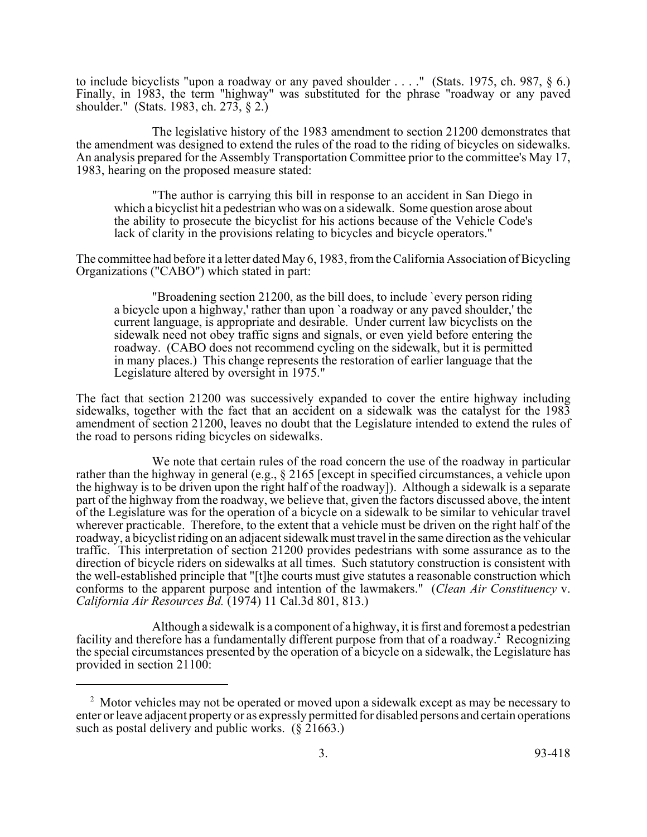to include bicyclists "upon a roadway or any paved shoulder . . . ." (Stats. 1975, ch. 987, § 6.) Finally, in 1983, the term "highway" was substituted for the phrase "roadway or any paved shoulder." (Stats. 1983, ch. 273, § 2.)

The legislative history of the 1983 amendment to section 21200 demonstrates that the amendment was designed to extend the rules of the road to the riding of bicycles on sidewalks. An analysis prepared for the Assembly Transportation Committee prior to the committee's May 17, 1983, hearing on the proposed measure stated:

"The author is carrying this bill in response to an accident in San Diego in which a bicyclist hit a pedestrian who was on a sidewalk. Some question arose about the ability to prosecute the bicyclist for his actions because of the Vehicle Code's lack of clarity in the provisions relating to bicycles and bicycle operators."

The committee had before it a letter dated May 6, 1983, from the California Association of Bicycling Organizations ("CABO") which stated in part:

"Broadening section 21200, as the bill does, to include `every person riding a bicycle upon a highway,' rather than upon `a roadway or any paved shoulder,' the current language, is appropriate and desirable. Under current law bicyclists on the sidewalk need not obey traffic signs and signals, or even yield before entering the roadway. (CABO does not recommend cycling on the sidewalk, but it is permitted in many places.) This change represents the restoration of earlier language that the Legislature altered by oversight in 1975."

The fact that section 21200 was successively expanded to cover the entire highway including sidewalks, together with the fact that an accident on a sidewalk was the catalyst for the 1983 amendment of section 21200, leaves no doubt that the Legislature intended to extend the rules of the road to persons riding bicycles on sidewalks.

We note that certain rules of the road concern the use of the roadway in particular rather than the highway in general (e.g., § 2165 [except in specified circumstances, a vehicle upon the highway is to be driven upon the right half of the roadway]). Although a sidewalk is a separate part of the highway from the roadway, we believe that, given the factors discussed above, the intent of the Legislature was for the operation of a bicycle on a sidewalk to be similar to vehicular travel wherever practicable. Therefore, to the extent that a vehicle must be driven on the right half of the roadway, a bicyclist riding on an adjacent sidewalk must travel in the same direction as the vehicular traffic. This interpretation of section 21200 provides pedestrians with some assurance as to the direction of bicycle riders on sidewalks at all times. Such statutory construction is consistent with the well-established principle that "[t]he courts must give statutes a reasonable construction which conforms to the apparent purpose and intention of the lawmakers." (*Clean Air Constituency* v. *California Air Resources Bd.* (1974) 11 Cal.3d 801, 813.)

Although a sidewalk is a component of a highway, it is first and foremost a pedestrian facility and therefore has a fundamentally different purpose from that of a roadway.<sup>2</sup> Recognizing the special circumstances presented by the operation of a bicycle on a sidewalk, the Legislature has provided in section 21100:

 $2$  Motor vehicles may not be operated or moved upon a sidewalk except as may be necessary to enter or leave adjacent property or as expressly permitted for disabled persons and certain operations such as postal delivery and public works.  $(\S$  21663.)